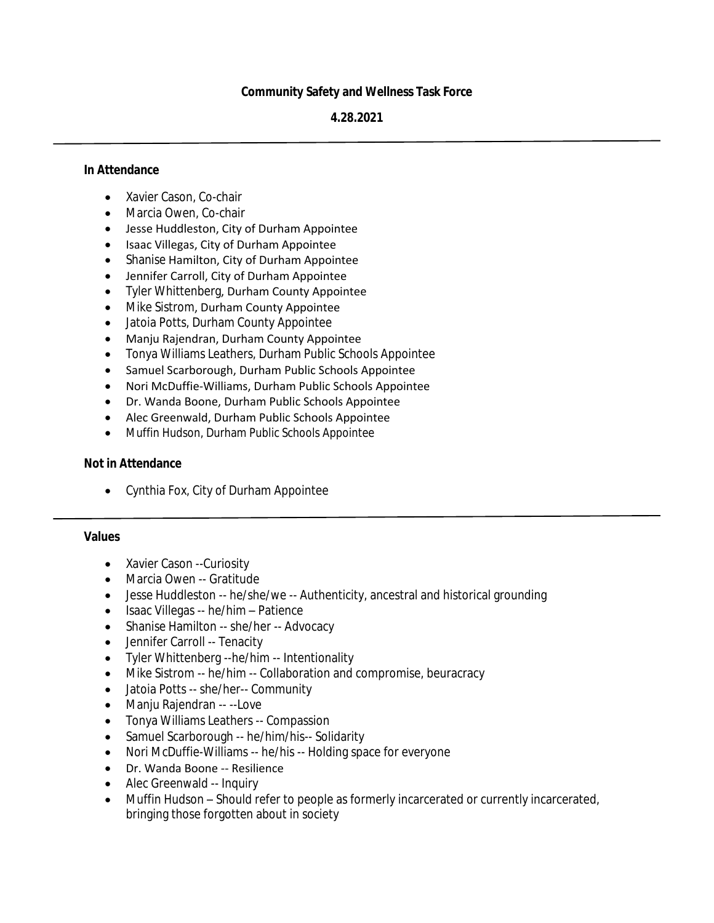# **Community Safety and Wellness Task Force**

#### **4.28.2021**

#### **In Attendance**

- Xavier Cason, Co-chair
- Marcia Owen, Co-chair
- Jesse Huddleston, City of Durham Appointee
- Isaac Villegas, City of Durham Appointee
- Shanise Hamilton, City of Durham Appointee
- Jennifer Carroll, City of Durham Appointee
- Tyler Whittenberg, Durham County Appointee
- Mike Sistrom, Durham County Appointee
- Jatoia Potts, Durham County Appointee
- Manju Rajendran, Durham County Appointee
- Tonya Williams Leathers, Durham Public Schools Appointee
- Samuel Scarborough, Durham Public Schools Appointee
- Nori McDuffie-Williams, Durham Public Schools Appointee
- Dr. Wanda Boone, Durham Public Schools Appointee
- Alec Greenwald, Durham Public Schools Appointee
- Muffin Hudson, Durham Public Schools Appointee

#### **Not in Attendance**

Cynthia Fox, City of Durham Appointee

#### **Values**

- Xavier Cason --Curiosity
- Marcia Owen -- Gratitude
- Jesse Huddleston -- he/she/we -- Authenticity, ancestral and historical grounding
- Isaac Villegas -- he/him Patience
- Shanise Hamilton -- she/her -- Advocacy
- Jennifer Carroll -- Tenacity
- Tyler Whittenberg --he/him -- Intentionality
- Mike Sistrom -- he/him -- Collaboration and compromise, beuracracy
- Jatoia Potts -- she/her-- Community
- Manju Rajendran -- --Love
- Tonya Williams Leathers -- Compassion
- Samuel Scarborough -- he/him/his-- Solidarity
- Nori McDuffie-Williams -- he/his -- Holding space for everyone
- Dr. Wanda Boone -- Resilience
- Alec Greenwald -- Inquiry
- Muffin Hudson Should refer to people as formerly incarcerated or currently incarcerated, bringing those forgotten about in society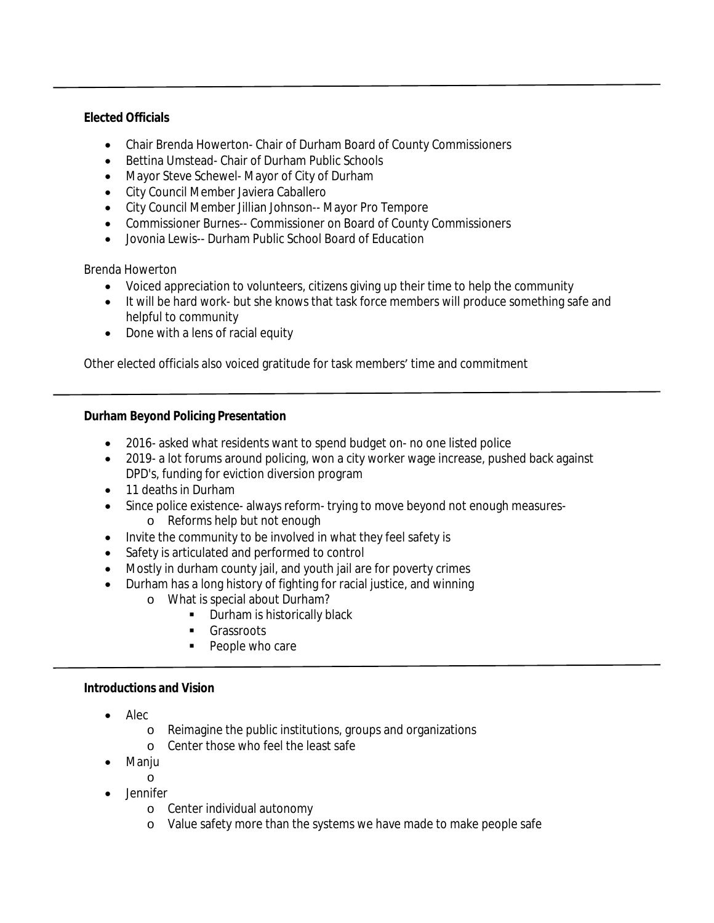# **Elected Officials**

- Chair Brenda Howerton- Chair of Durham Board of County Commissioners
- Bettina Umstead- Chair of Durham Public Schools
- Mayor Steve Schewel- Mayor of City of Durham
- City Council Member Javiera Caballero
- City Council Member Jillian Johnson-- Mayor Pro Tempore
- Commissioner Burnes-- Commissioner on Board of County Commissioners
- Jovonia Lewis-- Durham Public School Board of Education

Brenda Howerton

- Voiced appreciation to volunteers, citizens giving up their time to help the community
- It will be hard work- but she knows that task force members will produce something safe and helpful to community
- Done with a lens of racial equity

Other elected officials also voiced gratitude for task members' time and commitment

### **Durham Beyond Policing Presentation**

- 2016- asked what residents want to spend budget on- no one listed police
- 2019- a lot forums around policing, won a city worker wage increase, pushed back against DPD's, funding for eviction diversion program
- 11 deaths in Durham
- Since police existence- always reform-trying to move beyond not enough measures
	- o Reforms help but not enough
- Invite the community to be involved in what they feel safety is
- Safety is articulated and performed to control
- Mostly in durham county jail, and youth jail are for poverty crimes
- Durham has a long history of fighting for racial justice, and winning
	- o What is special about Durham?
		- **Durham is historically black**
		- Grassroots
		- People who care

### **Introductions and Vision**

- $\bullet$  Alec
	- o Reimagine the public institutions, groups and organizations
	- o Center those who feel the least safe
- Manju
	- o
- Jennifer
	- o Center individual autonomy
	- o Value safety more than the systems we have made to make people safe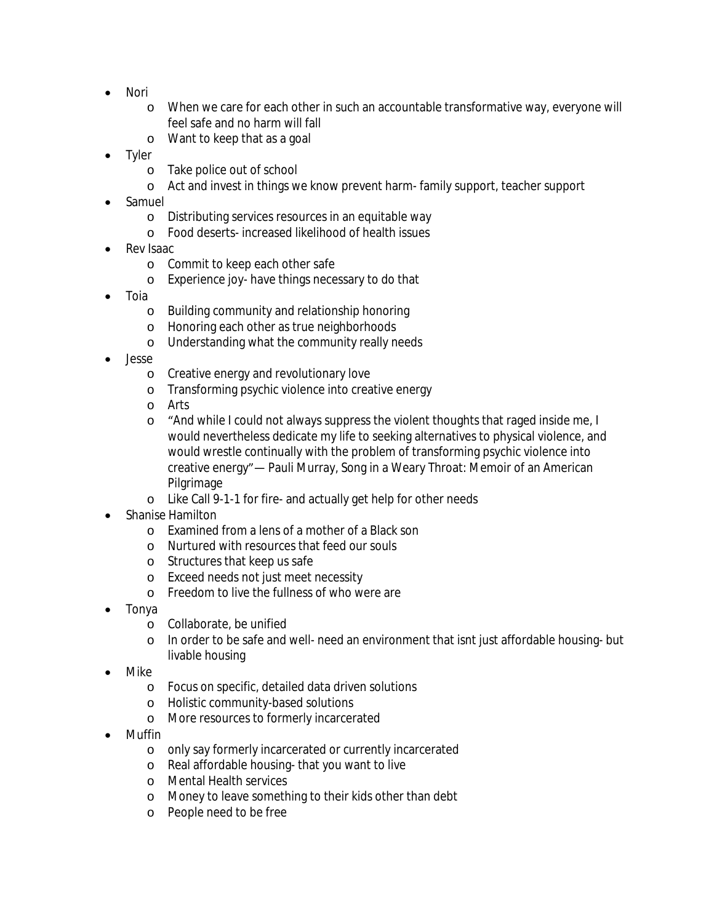- Nori
	- o When we care for each other in such an accountable transformative way, everyone will feel safe and no harm will fall
	- o Want to keep that as a goal
- Tyler
	- o Take police out of school
	- o Act and invest in things we know prevent harm- family support, teacher support
- Samuel
	- o Distributing services resources in an equitable way
	- o Food deserts- increased likelihood of health issues
- Rev Isaac
	- o Commit to keep each other safe
	- o Experience joy- have things necessary to do that
- Toia
	- o Building community and relationship honoring
	- o Honoring each other as true neighborhoods
	- o Understanding what the community really needs
- Jesse
	- o Creative energy and revolutionary love
	- o Transforming psychic violence into creative energy
	- o Arts
	- o "And while I could not always suppress the violent thoughts that raged inside me, I would nevertheless dedicate my life to seeking alternatives to physical violence, and would wrestle continually with the problem of transforming psychic violence into creative energy"― Pauli Murray, Song in a Weary Throat: Memoir of an American Pilgrimage
	- o Like Call 9-1-1 for fire- and actually get help for other needs
- Shanise Hamilton
	- o Examined from a lens of a mother of a Black son
	- o Nurtured with resources that feed our souls
	- o Structures that keep us safe
	- o Exceed needs not just meet necessity
	- o Freedom to live the fullness of who were are
- Tonya
	- o Collaborate, be unified
	- o In order to be safe and well- need an environment that isnt just affordable housing- but livable housing
- Mike
	- o Focus on specific, detailed data driven solutions
	- o Holistic community-based solutions
	- o More resources to formerly incarcerated
- Muffin
	- o only say formerly incarcerated or currently incarcerated
	- o Real affordable housing- that you want to live
	- o Mental Health services
	- o Money to leave something to their kids other than debt
	- o People need to be free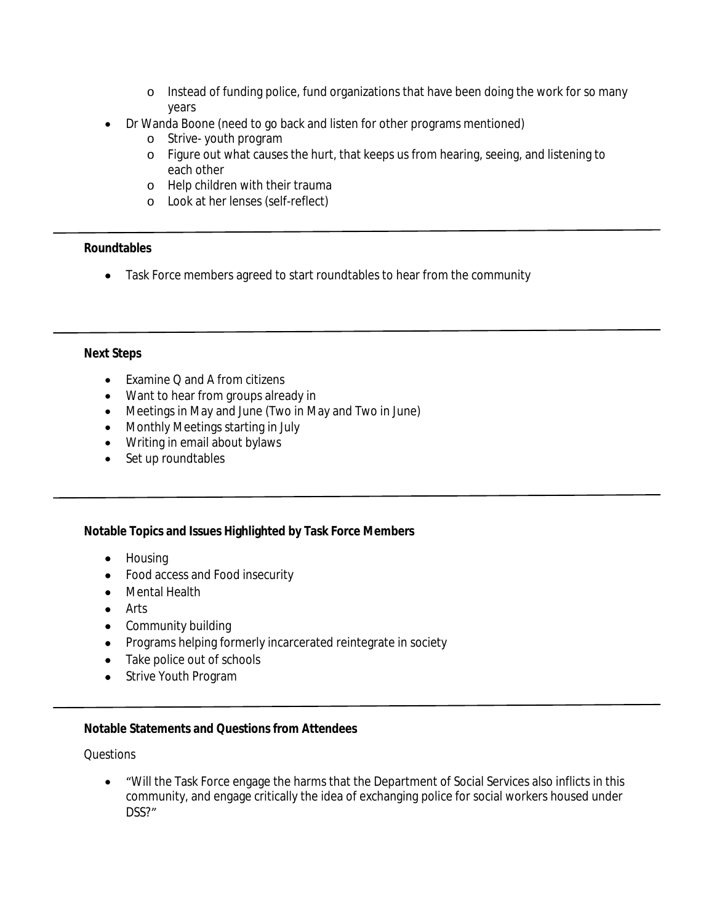- o Instead of funding police, fund organizations that have been doing the work for so many years
- Dr Wanda Boone (need to go back and listen for other programs mentioned)
	- o Strive- youth program
	- o Figure out what causes the hurt, that keeps us from hearing, seeing, and listening to each other
	- o Help children with their trauma
	- o Look at her lenses (self-reflect)

#### **Roundtables**

• Task Force members agreed to start roundtables to hear from the community

### **Next Steps**

- Examine Q and A from citizens
- Want to hear from groups already in
- Meetings in May and June (Two in May and Two in June)
- Monthly Meetings starting in July
- Writing in email about bylaws
- Set up roundtables

### **Notable Topics and Issues Highlighted by Task Force Members**

- Housing
- Food access and Food insecurity
- Mental Health
- Arts
- Community building
- Programs helping formerly incarcerated reintegrate in society
- Take police out of schools
- Strive Youth Program

### **Notable Statements and Questions from Attendees**

*Questions*

 "Will the Task Force engage the harms that the Department of Social Services also inflicts in this community, and engage critically the idea of exchanging police for social workers housed under DSS?"